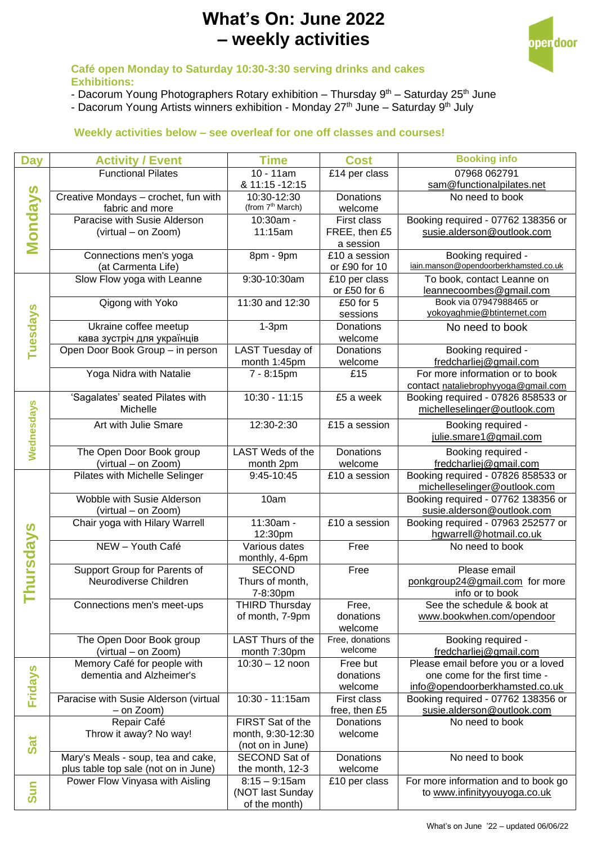# **What's On: June 2022 – weekly activities**



#### **Café open Monday to Saturday 10:30-3:30 serving drinks and cakes Exhibitions:**

- Dacorum Young Photographers Rotary exhibition Thursday 9<sup>th</sup> Saturday 25<sup>th</sup> June
- Dacorum Young Artists winners exhibition Monday 27<sup>th</sup> June Saturday 9<sup>th</sup> July

### **Weekly activities below – see overleaf for one off classes and courses!**

| <b>Day</b>      | <b>Activity / Event</b>                         | <b>Time</b>                                 | <b>Cost</b>                | <b>Booking info</b>                                                |
|-----------------|-------------------------------------------------|---------------------------------------------|----------------------------|--------------------------------------------------------------------|
|                 | <b>Functional Pilates</b>                       | $10 - 11$ am                                | £14 per class              | 07968 062791                                                       |
|                 |                                                 | & 11:15 - 12:15                             |                            | sam@functionalpilates.net                                          |
|                 | Creative Mondays - crochet, fun with            | 10:30-12:30<br>(from 7 <sup>th</sup> March) | Donations                  | No need to book                                                    |
| <b>Mondays</b>  | fabric and more<br>Paracise with Susie Alderson | 10:30am -                                   | welcome<br>First class     | Booking required - 07762 138356 or                                 |
|                 | (virtual – on Zoom)                             | 11:15am                                     | FREE, then £5              | susie.alderson@outlook.com                                         |
|                 |                                                 |                                             | a session                  |                                                                    |
|                 | Connections men's yoga                          | 8pm - 9pm                                   | £10 a session              | Booking required -                                                 |
|                 | (at Carmenta Life)                              |                                             | or £90 for 10              | iain.manson@opendoorberkhamsted.co.uk                              |
|                 | Slow Flow yoga with Leanne                      | 9:30-10:30am                                | £10 per class              | To book, contact Leanne on                                         |
|                 |                                                 |                                             | or £50 for 6               | leannecoombes@gmail.com                                            |
|                 | Qigong with Yoko                                | 11:30 and 12:30                             | £50 for 5                  | Book via 07947988465 or<br>yokoyaghmie@btinternet.com              |
|                 | Ukraine coffee meetup                           | $1-3pm$                                     | sessions<br>Donations      | No need to book                                                    |
| Tuesdays        | кава зустріч для українців                      |                                             | welcome                    |                                                                    |
|                 | Open Door Book Group - in person                | <b>LAST Tuesday of</b>                      | Donations                  | Booking required -                                                 |
|                 |                                                 | month 1:45pm                                | welcome                    | fredcharliej@gmail.com                                             |
|                 | Yoga Nidra with Natalie                         | 7 - 8:15pm                                  | £15                        | For more information or to book                                    |
|                 |                                                 |                                             |                            | contact nataliebrophyyoga@gmail.com                                |
|                 | 'Sagalates' seated Pilates with                 | $10:30 - 11:15$                             | £5 a week                  | Booking required - 07826 858533 or                                 |
|                 | Michelle                                        |                                             |                            | michelleselinger@outlook.com                                       |
| Wednesdays      | Art with Julie Smare                            | 12:30-2:30                                  | £15 a session              | Booking required -                                                 |
|                 |                                                 |                                             |                            | julie.smare1@gmail.com                                             |
|                 | The Open Door Book group                        | LAST Weds of the                            | Donations                  | Booking required -                                                 |
|                 | (virtual – on Zoom)                             | month 2pm                                   | welcome                    | fredcharliej@gmail.com                                             |
|                 | Pilates with Michelle Selinger                  | 9:45-10:45                                  | $E10$ a session            | Booking required - 07826 858533 or<br>michelleselinger@outlook.com |
|                 | Wobble with Susie Alderson                      | 10am                                        |                            | Booking required - 07762 138356 or                                 |
|                 | (virtual - on Zoom)                             |                                             |                            | susie.alderson@outlook.com                                         |
|                 | Chair yoga with Hilary Warrell                  | 11:30am -                                   | £10 a session              | Booking required - 07963 252577 or                                 |
|                 |                                                 | 12:30pm                                     |                            | hgwarrell@hotmail.co.uk                                            |
| <b>hursdays</b> | NEW - Youth Café                                | Various dates                               | Free                       | No need to book                                                    |
|                 | Support Group for Parents of                    | monthly, 4-6pm<br><b>SECOND</b>             | Free                       | Please email                                                       |
|                 | Neurodiverse Children                           | Thurs of month,                             |                            | ponkgroup24@gmail.com for more                                     |
|                 |                                                 | 7-8:30pm                                    |                            | info or to book                                                    |
|                 | Connections men's meet-ups                      | <b>THIRD Thursday</b>                       | Free,                      | See the schedule & book at                                         |
|                 |                                                 | of month, 7-9pm                             | donations                  | www.bookwhen.com/opendoor                                          |
|                 |                                                 |                                             | welcome<br>Free, donations |                                                                    |
|                 | The Open Door Book group<br>(virtual - on Zoom) | <b>LAST Thurs of the</b><br>month 7:30pm    | welcome                    | Booking required -<br>fredcharliej@gmail.com                       |
|                 | Memory Café for people with                     | $10:30 - 12$ noon                           | Free but                   | Please email before you or a loved                                 |
|                 | dementia and Alzheimer's                        |                                             | donations                  | one come for the first time -                                      |
| <b>Fridays</b>  |                                                 |                                             | welcome                    | info@opendoorberkhamsted.co.uk                                     |
|                 | Paracise with Susie Alderson (virtual           | 10:30 - 11:15am                             | First class                | Booking required - 07762 138356 or                                 |
|                 | $-$ on Zoom)                                    |                                             | free, then £5              | susie.alderson@outlook.com                                         |
|                 | Repair Café<br>Throw it away? No way!           | FIRST Sat of the<br>month, 9:30-12:30       | Donations<br>welcome       | No need to book                                                    |
| Sat             |                                                 | (not on in June)                            |                            |                                                                    |
|                 | Mary's Meals - soup, tea and cake,              | SECOND Sat of                               | Donations                  | No need to book                                                    |
|                 | plus table top sale (not on in June)            | the month, 12-3                             | welcome                    |                                                                    |
| Sun             | Power Flow Vinyasa with Aisling                 | $8:15 - 9:15$ am                            | £10 per class              | For more information and to book go                                |
|                 |                                                 | (NOT last Sunday                            |                            | to www.infinityyouyoga.co.uk                                       |
|                 |                                                 | of the month)                               |                            |                                                                    |